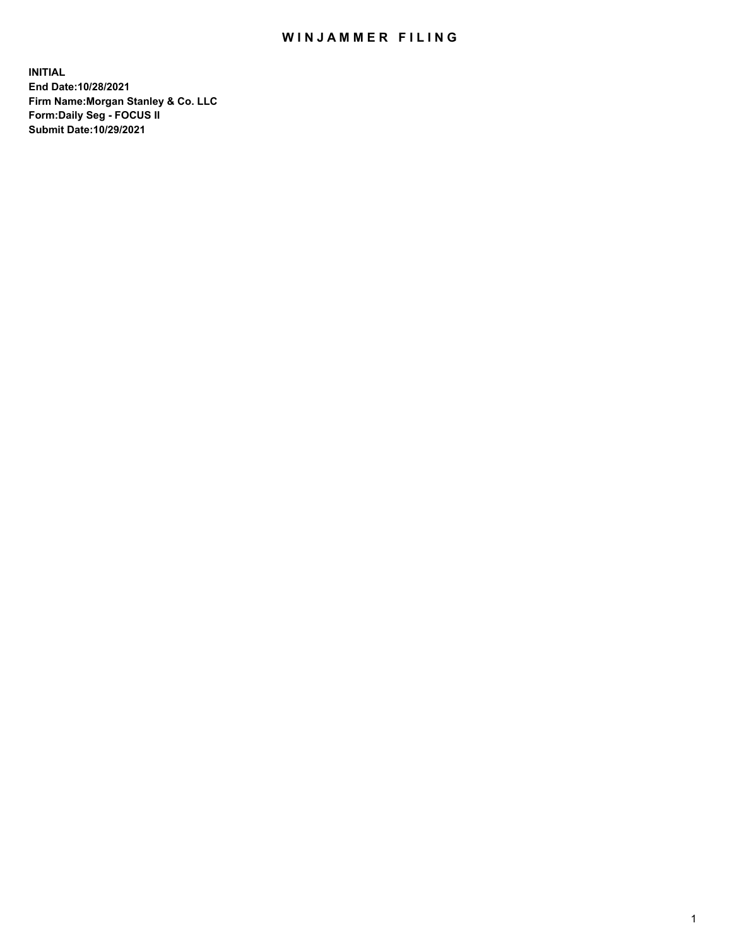## WIN JAMMER FILING

**INITIAL End Date:10/28/2021 Firm Name:Morgan Stanley & Co. LLC Form:Daily Seg - FOCUS II Submit Date:10/29/2021**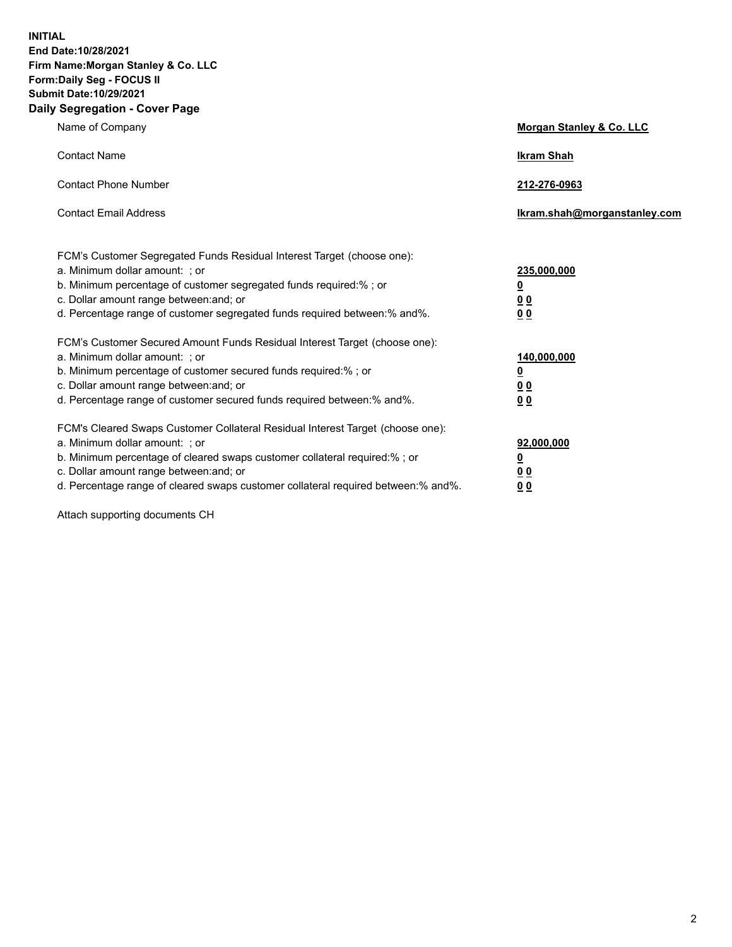**INITIAL End Date:10/28/2021 Firm Name:Morgan Stanley & Co. LLC Form:Daily Seg - FOCUS II Submit Date:10/29/2021 Daily Segregation - Cover Page**

| Name of Company                                                                                                                                                                                                                                                                                                                | <b>Morgan Stanley &amp; Co. LLC</b>                    |
|--------------------------------------------------------------------------------------------------------------------------------------------------------------------------------------------------------------------------------------------------------------------------------------------------------------------------------|--------------------------------------------------------|
| <b>Contact Name</b>                                                                                                                                                                                                                                                                                                            | <b>Ikram Shah</b>                                      |
| <b>Contact Phone Number</b>                                                                                                                                                                                                                                                                                                    | 212-276-0963                                           |
| <b>Contact Email Address</b>                                                                                                                                                                                                                                                                                                   | Ikram.shah@morganstanley.com                           |
| FCM's Customer Segregated Funds Residual Interest Target (choose one):<br>a. Minimum dollar amount: ; or<br>b. Minimum percentage of customer segregated funds required:% ; or<br>c. Dollar amount range between: and; or<br>d. Percentage range of customer segregated funds required between:% and%.                         | 235,000,000<br><u>0</u><br>0 Q<br>0 Q                  |
| FCM's Customer Secured Amount Funds Residual Interest Target (choose one):<br>a. Minimum dollar amount: ; or<br>b. Minimum percentage of customer secured funds required:% ; or<br>c. Dollar amount range between: and; or<br>d. Percentage range of customer secured funds required between: % and %.                         | 140,000,000<br><u>0</u><br><u>00</u><br>0 <sub>0</sub> |
| FCM's Cleared Swaps Customer Collateral Residual Interest Target (choose one):<br>a. Minimum dollar amount: ; or<br>b. Minimum percentage of cleared swaps customer collateral required:% ; or<br>c. Dollar amount range between: and; or<br>d. Percentage range of cleared swaps customer collateral required between:% and%. | 92,000,000<br><u>0</u><br>0 Q<br>00                    |

Attach supporting documents CH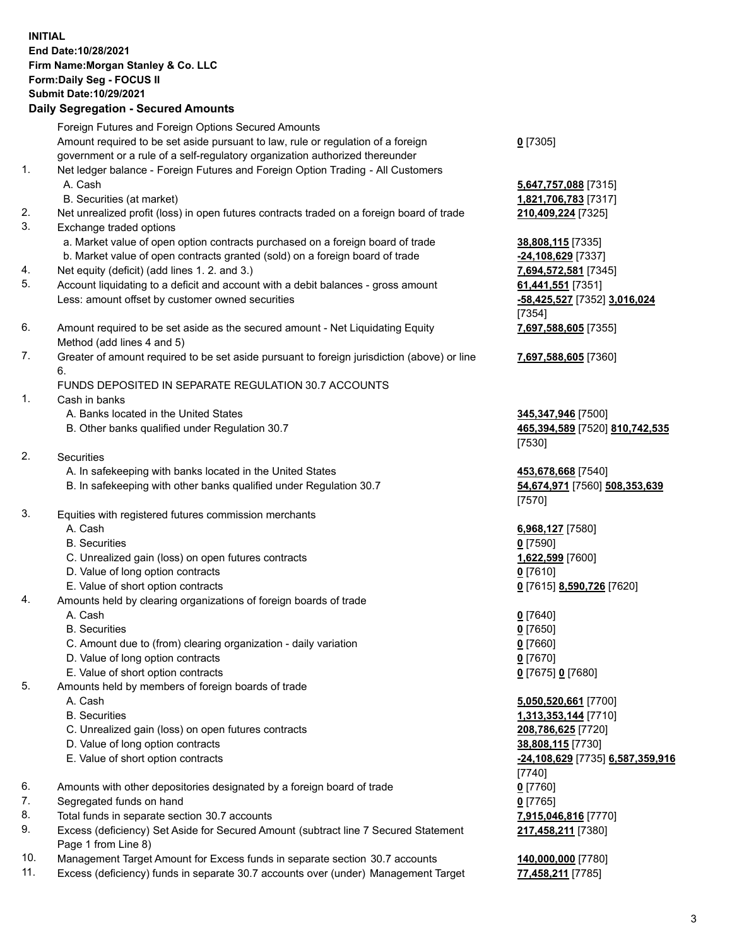## **INITIAL End Date:10/28/2021 Firm Name:Morgan Stanley & Co. LLC Form:Daily Seg - FOCUS II Submit Date:10/29/2021**

## **Daily Segregation - Secured Amounts**

Foreign Futures and Foreign Options Secured Amounts Amount required to be set aside pursuant to law, rule or regulation of a foreign government or a rule of a self-regulatory organization authorized thereunder 1. Net ledger balance - Foreign Futures and Foreign Option Trading - All Customers A. Cash **5,647,757,088** [7315] B. Securities (at market) **1,821,706,783** [7317] 2. Net unrealized profit (loss) in open futures contracts traded on a foreign board of trade **210,409,224** [7325] 3. Exchange traded options a. Market value of open option contracts purchased on a foreign board of trade **38,808,115** [7335] b. Market value of open contracts granted (sold) on a foreign board of trade **-24,108,629** [7337] 4. Net equity (deficit) (add lines 1. 2. and 3.) **7,694,572,581** [7345] 5. Account liquidating to a deficit and account with a debit balances - gross amount **61,441,551** [7351] Less: amount offset by customer owned securities **-58,425,527** [7352] **3,016,024** 6. Amount required to be set aside as the secured amount - Net Liquidating Equity Method (add lines 4 and 5) 7. Greater of amount required to be set aside pursuant to foreign jurisdiction (above) or line 6. FUNDS DEPOSITED IN SEPARATE REGULATION 30.7 ACCOUNTS 1. Cash in banks A. Banks located in the United States **345,347,946** [7500] B. Other banks qualified under Regulation 30.7 **465,394,589** [7520] **810,742,535** 2. Securities A. In safekeeping with banks located in the United States **453,678,668** [7540] B. In safekeeping with other banks qualified under Regulation 30.7 **54,674,971** [7560] **508,353,639**

- 3. Equities with registered futures commission merchants
	-
	- B. Securities **0** [7590]
	- C. Unrealized gain (loss) on open futures contracts **1,622,599** [7600]
	- D. Value of long option contracts **0** [7610]
	- E. Value of short option contracts **0** [7615] **8,590,726** [7620]
- 4. Amounts held by clearing organizations of foreign boards of trade
	-
	- B. Securities **0** [7650]
	- C. Amount due to (from) clearing organization daily variation **0** [7660]
	- D. Value of long option contracts **0** [7670]
	- E. Value of short option contracts **0** [7675] **0** [7680]
- 5. Amounts held by members of foreign boards of trade
	-
	-
	- C. Unrealized gain (loss) on open futures contracts **208,786,625** [7720]
	- D. Value of long option contracts **38,808,115** [7730]
	-
- 6. Amounts with other depositories designated by a foreign board of trade **0** [7760]
- 7. Segregated funds on hand **0** [7765]
- 8. Total funds in separate section 30.7 accounts **7,915,046,816** [7770]
- 9. Excess (deficiency) Set Aside for Secured Amount (subtract line 7 Secured Statement Page 1 from Line 8)
- 10. Management Target Amount for Excess funds in separate section 30.7 accounts **140,000,000** [7780]
- 11. Excess (deficiency) funds in separate 30.7 accounts over (under) Management Target **77,458,211** [7785]

**0** [7305]

[7354] **7,697,588,605** [7355]

**7,697,588,605** [7360]

[7530]

[7570]

A. Cash **6,968,127** [7580]

A. Cash **0** [7640]

 A. Cash **5,050,520,661** [7700] B. Securities **1,313,353,144** [7710] E. Value of short option contracts **-24,108,629** [7735] **6,587,359,916** [7740] **217,458,211** [7380]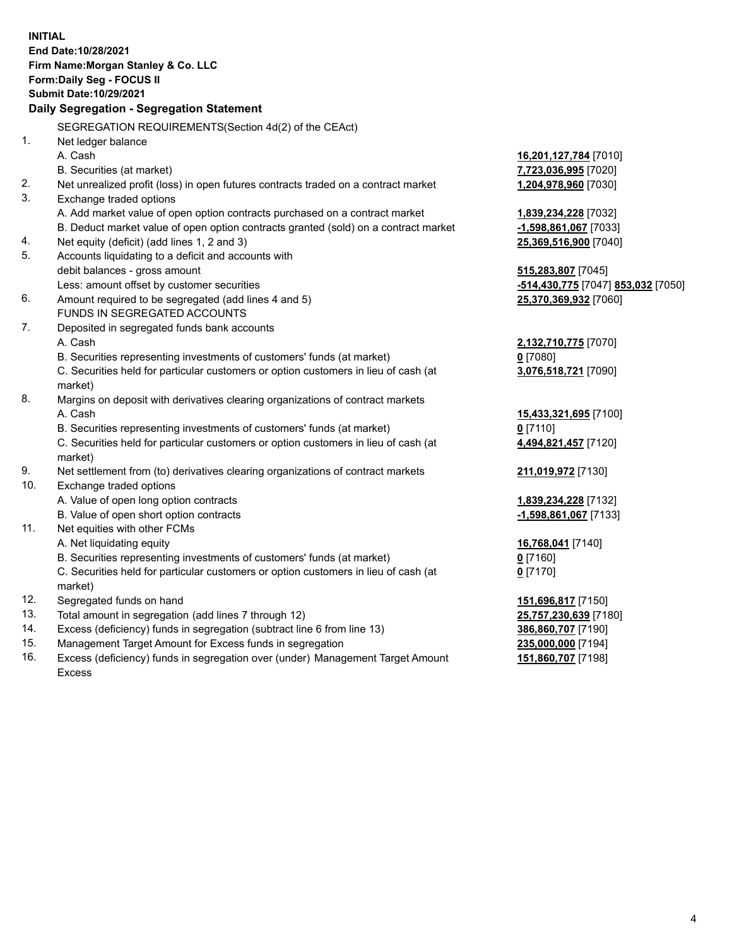**INITIAL End Date:10/28/2021 Firm Name:Morgan Stanley & Co. LLC Form:Daily Seg - FOCUS II Submit Date:10/29/2021 Daily Segregation - Segregation Statement** SEGREGATION REQUIREMENTS(Section 4d(2) of the CEAct) 1. Net ledger balance A. Cash **16,201,127,784** [7010] B. Securities (at market) **7,723,036,995** [7020] 2. Net unrealized profit (loss) in open futures contracts traded on a contract market **1,204,978,960** [7030] 3. Exchange traded options A. Add market value of open option contracts purchased on a contract market **1,839,234,228** [7032] B. Deduct market value of open option contracts granted (sold) on a contract market **-1,598,861,067** [7033] 4. Net equity (deficit) (add lines 1, 2 and 3) **25,369,516,900** [7040] 5. Accounts liquidating to a deficit and accounts with debit balances - gross amount **515,283,807** [7045] Less: amount offset by customer securities **-514,430,775** [7047] **853,032** [7050] 6. Amount required to be segregated (add lines 4 and 5) **25,370,369,932** [7060] FUNDS IN SEGREGATED ACCOUNTS 7. Deposited in segregated funds bank accounts A. Cash **2,132,710,775** [7070] B. Securities representing investments of customers' funds (at market) **0** [7080] C. Securities held for particular customers or option customers in lieu of cash (at market) **3,076,518,721** [7090] 8. Margins on deposit with derivatives clearing organizations of contract markets A. Cash **15,433,321,695** [7100] B. Securities representing investments of customers' funds (at market) **0** [7110] C. Securities held for particular customers or option customers in lieu of cash (at market) **4,494,821,457** [7120] 9. Net settlement from (to) derivatives clearing organizations of contract markets **211,019,972** [7130] 10. Exchange traded options A. Value of open long option contracts **1,839,234,228** [7132] B. Value of open short option contracts **-1,598,861,067** [7133] 11. Net equities with other FCMs A. Net liquidating equity **16,768,041** [7140] B. Securities representing investments of customers' funds (at market) **0** [7160] C. Securities held for particular customers or option customers in lieu of cash (at market) **0** [7170] 12. Segregated funds on hand **151,696,817** [7150] 13. Total amount in segregation (add lines 7 through 12) **25,757,230,639** [7180] 14. Excess (deficiency) funds in segregation (subtract line 6 from line 13) **386,860,707** [7190] 15. Management Target Amount for Excess funds in segregation **235,000,000** [7194] 16. Excess (deficiency) funds in segregation over (under) Management Target Amount **151,860,707** [7198]

Excess